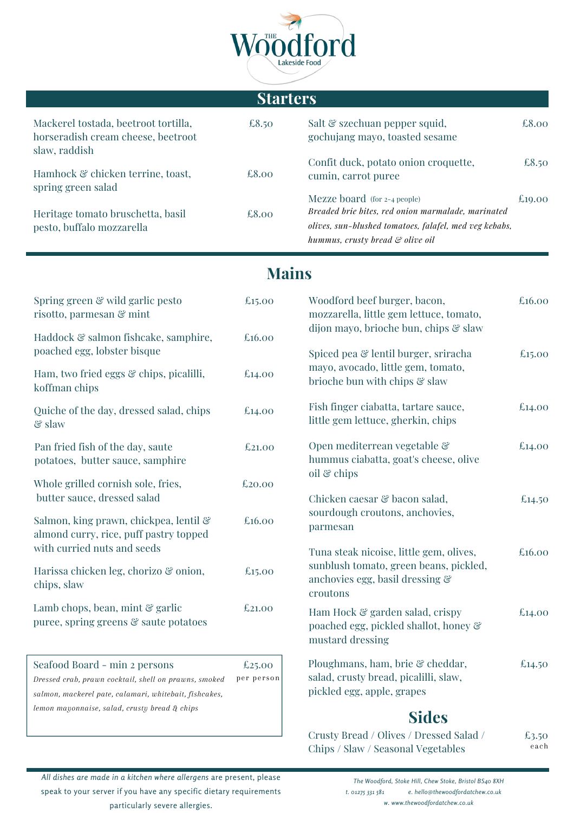

|                                                                                             | <b>Starters</b>      |                                                                                                                                                                                  |         |
|---------------------------------------------------------------------------------------------|----------------------|----------------------------------------------------------------------------------------------------------------------------------------------------------------------------------|---------|
| Mackerel tostada, beetroot tortilla,<br>horseradish cream cheese, beetroot<br>slaw, raddish | €8.50                | Salt & szechuan pepper squid,<br>gochujang mayo, toasted sesame                                                                                                                  | £8.00   |
| Hamhock & chicken terrine, toast,                                                           | £8.00                | Confit duck, potato onion croquette,<br>cumin, carrot puree                                                                                                                      | \$8.50  |
| spring green salad<br>Heritage tomato bruschetta, basil<br>pesto, buffalo mozzarella        | £8.00                | Mezze board (for 2-4 people)<br>Breaded brie bites, red onion marmalade, marinated<br>olives, sun-blushed tomatoes, falafel, med veg kebabs,<br>hummus, crusty bread & olive oil | €19.00  |
|                                                                                             | <b>Mains</b>         |                                                                                                                                                                                  |         |
| Spring green & wild garlic pesto<br>risotto, parmesan & mint                                | £15.00               | Woodford beef burger, bacon,<br>mozzarella, little gem lettuce, tomato,                                                                                                          | \$16.00 |
| Haddock & salmon fishcake, samphire,<br>poached egg, lobster bisque                         | £16.00               | dijon mayo, brioche bun, chips & slaw<br>Spiced pea & lentil burger, sriracha                                                                                                    |         |
| Ham, two fried eggs & chips, picalilli,<br>koffman chips                                    | \$14.00              | mayo, avocado, little gem, tomato,<br>brioche bun with chips & slaw                                                                                                              | £15.00  |
| Quiche of the day, dressed salad, chips<br>$\mathcal{E}$ slaw                               | \$14.00              | Fish finger ciabatta, tartare sauce,<br>little gem lettuce, gherkin, chips                                                                                                       | £14.00  |
| Pan fried fish of the day, saute<br>potatoes, butter sauce, samphire                        | £21.00               | Open mediterrean vegetable &<br>hummus ciabatta, goat's cheese, olive                                                                                                            | \$14.00 |
| Whole grilled cornish sole, fries,<br>butter sauce, dressed salad                           | €20.00               | oil $\mathcal C$ chips<br>Chicken caesar & bacon salad,                                                                                                                          |         |
| Salmon, king prawn, chickpea, lentil &<br>almond curry, rice, puff pastry topped            | \$16.00              | sourdough croutons, anchovies,<br>parmesan                                                                                                                                       | £14.50  |
| with curried nuts and seeds                                                                 |                      | Tuna steak nicoise, little gem, olives,<br>sunblush tomato, green beans, pickled,                                                                                                | \$16.00 |
| Harissa chicken leg, chorizo & onion,<br>chips, slaw                                        | £15.00               | anchovies egg, basil dressing &<br>croutons                                                                                                                                      |         |
| Lamb chops, bean, mint $\mathcal{C}$ garlic<br>puree, spring greens & saute potatoes        | €21.00               | Ham Hock & garden salad, crispy<br>poached egg, pickled shallot, honey &<br>mustard dressing                                                                                     | \$14.00 |
| Seafood Board - min 2 persons<br>Dressed crab, prawn cocktail, shell on prawns, smoked      | £25.00<br>per person | Ploughmans, ham, brie & cheddar,<br>salad, crusty bread, picalilli, slaw,                                                                                                        | \$14.50 |

*salmon, mackerel pate, calamari, whitebait, fishcakes,*

*lemon mayonnaise, salad, crusty bread & chips*

# **Sides**

pickled egg, apple, grapes

| Crusty Bread / Olives / Dressed Salad / | £3.50 |
|-----------------------------------------|-------|
| Chips / Slaw / Seasonal Vegetables      | each  |